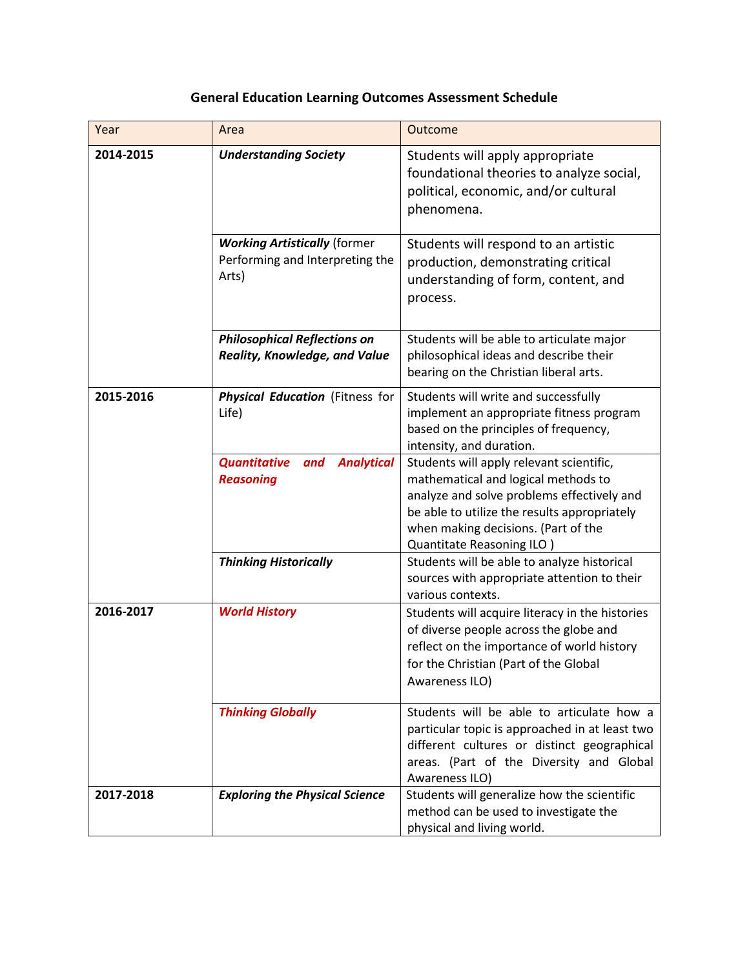## **General Education Learning Outcomes Assessment Schedule**

| Year      | Area                                                                            | Outcome                                                                                                                                                                                                                                            |
|-----------|---------------------------------------------------------------------------------|----------------------------------------------------------------------------------------------------------------------------------------------------------------------------------------------------------------------------------------------------|
| 2014-2015 | <b>Understanding Society</b>                                                    | Students will apply appropriate<br>foundational theories to analyze social,<br>political, economic, and/or cultural<br>phenomena.                                                                                                                  |
|           | <b>Working Artistically (former</b><br>Performing and Interpreting the<br>Arts) | Students will respond to an artistic<br>production, demonstrating critical<br>understanding of form, content, and<br>process.                                                                                                                      |
|           | <b>Philosophical Reflections on</b><br>Reality, Knowledge, and Value            | Students will be able to articulate major<br>philosophical ideas and describe their<br>bearing on the Christian liberal arts.                                                                                                                      |
| 2015-2016 | Physical Education (Fitness for<br>Life)                                        | Students will write and successfully<br>implement an appropriate fitness program<br>based on the principles of frequency,<br>intensity, and duration.                                                                                              |
|           | <b>Analytical</b><br><b>Quantitative</b><br>and<br><b>Reasoning</b>             | Students will apply relevant scientific,<br>mathematical and logical methods to<br>analyze and solve problems effectively and<br>be able to utilize the results appropriately<br>when making decisions. (Part of the<br>Quantitate Reasoning ILO ) |
|           | <b>Thinking Historically</b>                                                    | Students will be able to analyze historical<br>sources with appropriate attention to their<br>various contexts.                                                                                                                                    |
| 2016-2017 | <b>World History</b>                                                            | Students will acquire literacy in the histories<br>of diverse people across the globe and<br>reflect on the importance of world history<br>for the Christian (Part of the Global<br>Awareness ILO)                                                 |
|           | <b>Thinking Globally</b>                                                        | Students will be able to articulate how a<br>particular topic is approached in at least two<br>different cultures or distinct geographical<br>areas. (Part of the Diversity and Global<br>Awareness ILO)                                           |
| 2017-2018 | <b>Exploring the Physical Science</b>                                           | Students will generalize how the scientific<br>method can be used to investigate the<br>physical and living world.                                                                                                                                 |